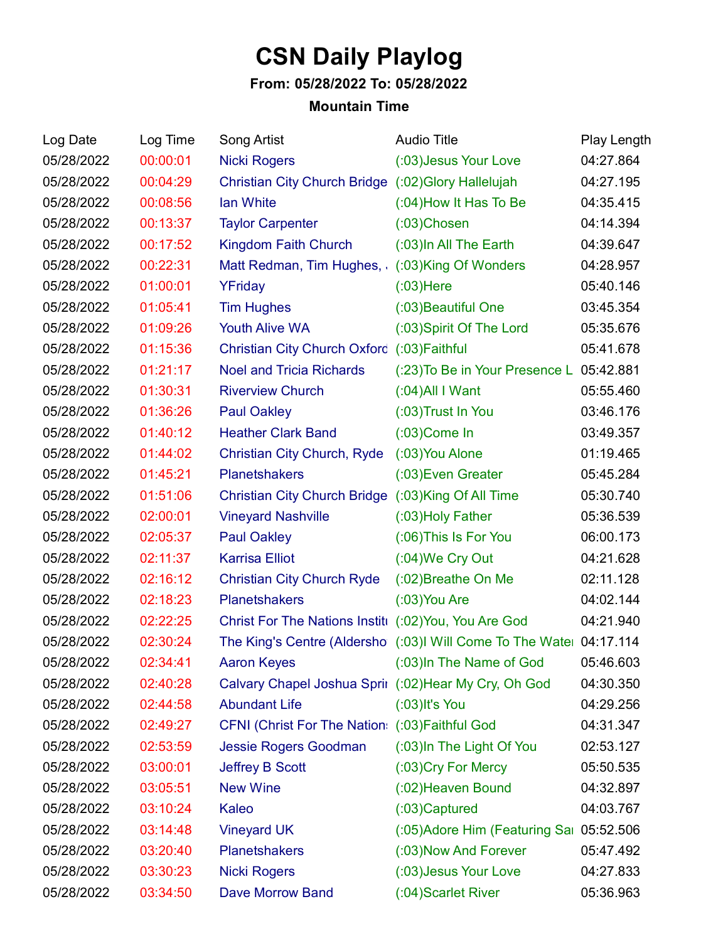## **CSN Daily Playlog**

## **From: 05/28/2022 To: 05/28/2022**

## **Mountain Time**

| Log Date   | Log Time | Song Artist                                           | <b>Audio Title</b>                                                  | Play Length |
|------------|----------|-------------------------------------------------------|---------------------------------------------------------------------|-------------|
| 05/28/2022 | 00:00:01 | <b>Nicki Rogers</b>                                   | (:03) Jesus Your Love                                               | 04:27.864   |
| 05/28/2022 | 00:04:29 | Christian City Church Bridge (:02) Glory Hallelujah   |                                                                     | 04:27.195   |
| 05/28/2022 | 00:08:56 | lan White                                             | (:04) How It Has To Be                                              | 04:35.415   |
| 05/28/2022 | 00:13:37 | <b>Taylor Carpenter</b>                               | $(03)$ Chosen                                                       | 04:14.394   |
| 05/28/2022 | 00:17:52 | Kingdom Faith Church                                  | (:03) In All The Earth                                              | 04:39.647   |
| 05/28/2022 | 00:22:31 | Matt Redman, Tim Hughes, (:03)King Of Wonders         |                                                                     | 04:28.957   |
| 05/28/2022 | 01:00:01 | YFriday                                               | $(03)$ Here                                                         | 05:40.146   |
| 05/28/2022 | 01:05:41 | <b>Tim Hughes</b>                                     | (:03) Beautiful One                                                 | 03:45.354   |
| 05/28/2022 | 01:09:26 | <b>Youth Alive WA</b>                                 | (:03) Spirit Of The Lord                                            | 05:35.676   |
| 05/28/2022 | 01:15:36 | Christian City Church Oxford (:03) Faithful           |                                                                     | 05:41.678   |
| 05/28/2022 | 01:21:17 | <b>Noel and Tricia Richards</b>                       | (:23) To Be in Your Presence L 05:42.881                            |             |
| 05/28/2022 | 01:30:31 | <b>Riverview Church</b>                               | $(0.04)$ All I Want                                                 | 05:55.460   |
| 05/28/2022 | 01:36:26 | <b>Paul Oakley</b>                                    | (:03) Trust In You                                                  | 03:46.176   |
| 05/28/2022 | 01:40:12 | <b>Heather Clark Band</b>                             | $(03)$ Come In                                                      | 03:49.357   |
| 05/28/2022 | 01:44:02 | <b>Christian City Church, Ryde</b>                    | (:03) You Alone                                                     | 01:19.465   |
| 05/28/2022 | 01:45:21 | <b>Planetshakers</b>                                  | (:03) Even Greater                                                  | 05:45.284   |
| 05/28/2022 | 01:51:06 | Christian City Church Bridge (:03)King Of All Time    |                                                                     | 05:30.740   |
| 05/28/2022 | 02:00:01 | <b>Vineyard Nashville</b>                             | (:03) Holy Father                                                   | 05:36.539   |
| 05/28/2022 | 02:05:37 | <b>Paul Oakley</b>                                    | (:06) This Is For You                                               | 06:00.173   |
| 05/28/2022 | 02:11:37 | <b>Karrisa Elliot</b>                                 | (:04) We Cry Out                                                    | 04:21.628   |
| 05/28/2022 | 02:16:12 | <b>Christian City Church Ryde</b>                     | (:02) Breathe On Me                                                 | 02:11.128   |
| 05/28/2022 | 02:18:23 | <b>Planetshakers</b>                                  | $(03)$ You Are                                                      | 04:02.144   |
| 05/28/2022 | 02:22:25 | Christ For The Nations Institi (:02) You, You Are God |                                                                     | 04:21.940   |
| 05/28/2022 | 02:30:24 |                                                       | The King's Centre (Aldersho (:03)I Will Come To The Watel 04:17.114 |             |
| 05/28/2022 | 02:34:41 |                                                       | Aaron Keyes (:03) In The Name of God                                | 05:46.603   |
| 05/28/2022 | 02:40:28 | Calvary Chapel Joshua Sprir (:02) Hear My Cry, Oh God |                                                                     | 04:30.350   |
| 05/28/2022 | 02:44:58 | <b>Abundant Life</b>                                  | $(03)$ It's You                                                     | 04:29.256   |
| 05/28/2022 | 02:49:27 | CFNI (Christ For The Nation: (:03) Faithful God       |                                                                     | 04:31.347   |
| 05/28/2022 | 02:53:59 | <b>Jessie Rogers Goodman</b>                          | (:03) In The Light Of You                                           | 02:53.127   |
| 05/28/2022 | 03:00:01 | <b>Jeffrey B Scott</b>                                | (:03) Cry For Mercy                                                 | 05:50.535   |
| 05/28/2022 | 03:05:51 | <b>New Wine</b>                                       | (:02) Heaven Bound                                                  | 04:32.897   |
| 05/28/2022 | 03:10:24 | Kaleo                                                 | $(0.03)$ Captured                                                   | 04:03.767   |
| 05/28/2022 | 03:14:48 | <b>Vineyard UK</b>                                    | (:05) Adore Him (Featuring Sai 05:52.506                            |             |
| 05/28/2022 | 03:20:40 | <b>Planetshakers</b>                                  | (:03) Now And Forever                                               | 05:47.492   |
| 05/28/2022 | 03:30:23 | <b>Nicki Rogers</b>                                   | (:03) Jesus Your Love                                               | 04:27.833   |
| 05/28/2022 | 03:34:50 | <b>Dave Morrow Band</b>                               | (:04) Scarlet River                                                 | 05:36.963   |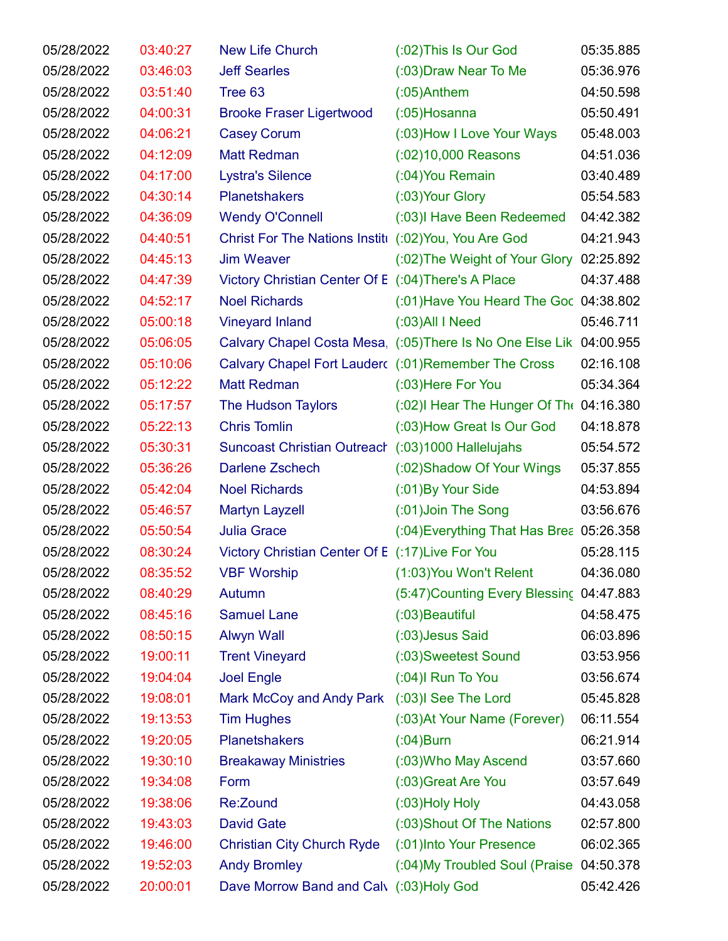| 05/28/2022 | 03:40:27 | <b>New Life Church</b>                                | (:02) This Is Our God                                               | 05:35.885 |
|------------|----------|-------------------------------------------------------|---------------------------------------------------------------------|-----------|
| 05/28/2022 | 03:46:03 | <b>Jeff Searles</b>                                   | (:03) Draw Near To Me                                               | 05:36.976 |
| 05/28/2022 | 03:51:40 | Tree 63                                               | $(0.05)$ Anthem                                                     | 04:50.598 |
| 05/28/2022 | 04:00:31 | <b>Brooke Fraser Ligertwood</b>                       | $(0.05)$ Hosanna                                                    | 05:50.491 |
| 05/28/2022 | 04:06:21 | <b>Casey Corum</b>                                    | (:03) How I Love Your Ways                                          | 05:48.003 |
| 05/28/2022 | 04:12:09 | <b>Matt Redman</b>                                    | $(02)10,000$ Reasons                                                | 04:51.036 |
| 05/28/2022 | 04:17:00 | <b>Lystra's Silence</b>                               | (:04) You Remain                                                    | 03:40.489 |
| 05/28/2022 | 04:30:14 | <b>Planetshakers</b>                                  | (:03) Your Glory                                                    | 05:54.583 |
| 05/28/2022 | 04:36:09 | <b>Wendy O'Connell</b>                                | (:03) Have Been Redeemed                                            | 04:42.382 |
| 05/28/2022 | 04:40:51 | Christ For The Nations Institi (:02) You, You Are God |                                                                     | 04:21.943 |
| 05/28/2022 | 04:45:13 | <b>Jim Weaver</b>                                     | (:02) The Weight of Your Glory 02:25.892                            |           |
| 05/28/2022 | 04:47:39 | Victory Christian Center Of E (:04) There's A Place   |                                                                     | 04:37.488 |
| 05/28/2022 | 04:52:17 | <b>Noel Richards</b>                                  | (:01) Have You Heard The Goc 04:38.802                              |           |
| 05/28/2022 | 05:00:18 | <b>Vineyard Inland</b>                                | $(03)$ All I Need                                                   | 05:46.711 |
| 05/28/2022 | 05:06:05 |                                                       | Calvary Chapel Costa Mesa, (:05) There Is No One Else Lik 04:00.955 |           |
| 05/28/2022 | 05:10:06 | Calvary Chapel Fort Lauder( (:01) Remember The Cross  |                                                                     | 02:16.108 |
| 05/28/2022 | 05:12:22 | <b>Matt Redman</b>                                    | (:03) Here For You                                                  | 05:34.364 |
| 05/28/2022 | 05:17:57 | The Hudson Taylors                                    | $(0.02)$ I Hear The Hunger Of The 04:16.380                         |           |
| 05/28/2022 | 05:22:13 | <b>Chris Tomlin</b>                                   | (:03) How Great Is Our God                                          | 04:18.878 |
| 05/28/2022 | 05:30:31 | Suncoast Christian Outreach (:03)1000 Hallelujahs     |                                                                     | 05:54.572 |
| 05/28/2022 | 05:36:26 | Darlene Zschech                                       | (:02) Shadow Of Your Wings                                          | 05:37.855 |
| 05/28/2022 | 05:42:04 | <b>Noel Richards</b>                                  | (:01) By Your Side                                                  | 04:53.894 |
| 05/28/2022 | 05:46:57 | <b>Martyn Layzell</b>                                 | (:01) Join The Song                                                 | 03:56.676 |
| 05/28/2022 | 05:50:54 | <b>Julia Grace</b>                                    | (:04) Everything That Has Brea 05:26.358                            |           |
| 05/28/2022 | 08:30:24 | Victory Christian Center Of E (:17) Live For You      |                                                                     | 05:28.115 |
| 05/28/2022 | 08:35:52 | <b>VBF Worship</b>                                    | (1:03) You Won't Relent                                             | 04:36.080 |
| 05/28/2022 | 08:40:29 | Autumn                                                | (5:47) Counting Every Blessing 04:47.883                            |           |
| 05/28/2022 | 08:45:16 | <b>Samuel Lane</b>                                    | (:03) Beautiful                                                     | 04:58.475 |
| 05/28/2022 | 08:50:15 | <b>Alwyn Wall</b>                                     | (:03) Jesus Said                                                    | 06:03.896 |
| 05/28/2022 | 19:00:11 | <b>Trent Vineyard</b>                                 | (:03) Sweetest Sound                                                | 03:53.956 |
| 05/28/2022 | 19:04:04 | <b>Joel Engle</b>                                     | $(.04)$ Run To You                                                  | 03:56.674 |
| 05/28/2022 | 19:08:01 | Mark McCoy and Andy Park                              | (:03)I See The Lord                                                 | 05:45.828 |
| 05/28/2022 | 19:13:53 | <b>Tim Hughes</b>                                     | (:03) At Your Name (Forever)                                        | 06:11.554 |
| 05/28/2022 | 19:20:05 | <b>Planetshakers</b>                                  | $(0.04)$ Burn                                                       | 06:21.914 |
| 05/28/2022 | 19:30:10 | <b>Breakaway Ministries</b>                           | (:03) Who May Ascend                                                | 03:57.660 |
| 05/28/2022 | 19:34:08 | Form                                                  | (:03) Great Are You                                                 | 03:57.649 |
| 05/28/2022 | 19:38:06 | Re:Zound                                              | $(03)$ Holy Holy                                                    | 04:43.058 |
| 05/28/2022 | 19:43:03 | <b>David Gate</b>                                     | (:03) Shout Of The Nations                                          | 02:57.800 |
| 05/28/2022 | 19:46:00 | <b>Christian City Church Ryde</b>                     | (:01) Into Your Presence                                            | 06:02.365 |
| 05/28/2022 | 19:52:03 | <b>Andy Bromley</b>                                   | (:04) My Troubled Soul (Praise                                      | 04:50.378 |
| 05/28/2022 | 20:00:01 | Dave Morrow Band and Calv (:03)Holy God               |                                                                     | 05:42.426 |